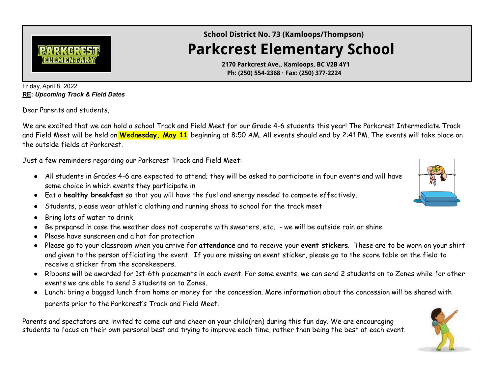

**School District No. 73 (Kamloops/Thompson)**

## **Parkcrest Elementary School**

**2170 Parkcrest Ave., Kamloops, BC V2B 4Y1 Ph: (250) 554-2368 · Fax: (250) 377-2224**

Friday, April 8, 2022 **RE:** *Upcoming Track & Field Dates*

Dear Parents and students,

We are excited that we can hold a school Track and Field Meet for our Grade 4-6 students this year! The Parkcrest Intermediate Track and Field Meet will be held on **Wednesday, May 11** beginning at 8:50 AM. All events should end by 2:41 PM. The events will take place on the outside fields at Parkcrest.

Just a few reminders regarding our Parkcrest Track and Field Meet:

- All students in Grades 4-6 are expected to attend; they will be asked to participate in four events and will have some choice in which events they participate in
- Eat a **healthy breakfast** so that you will have the fuel and energy needed to compete effectively.
- Students, please wear athletic clothing and running shoes to school for the track meet
- Bring lots of water to drink
- Be prepared in case the weather does not cooperate with sweaters, etc. we will be outside rain or shine
- Please have sunscreen and a hat for protection
- Please go to your classroom when you arrive for **attendance** and to receive your **event stickers**. These are to be worn on your shirt and given to the person officiating the event. If you are missing an event sticker, please go to the score table on the field to receive a sticker from the scorekeepers.
- Ribbons will be awarded for 1st-6th placements in each event. For some events, we can send 2 students on to Zones while for other events we are able to send 3 students on to Zones.
- Lunch: bring a bagged lunch from home or money for the concession. More information about the concession will be shared with parents prior to the Parkcrest's Track and Field Meet.

Parents and spectators are invited to come out and cheer on your child(ren) during this fun day. We are encouraging students to focus on their own personal best and trying to improve each time, rather than being the best at each event.



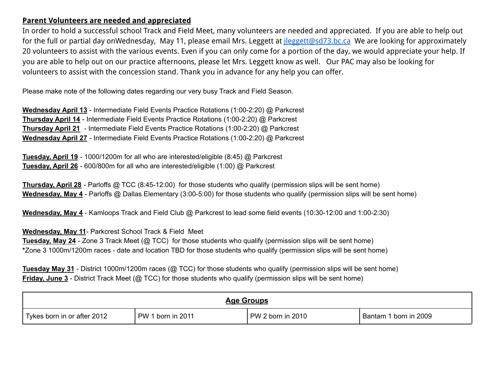## **Parent Volunteers are needed and appreciated**

In order to hold a successful school Track and Field Meet, many volunteers are needed and appreciated. If you are able to help out for the full or partial day onWednesday, May 11, please email Mrs. Leggett at *[jleggett@sd73.bc.ca](mailto:jleggett@sd73.bc.ca)* We are looking for approximately 20 volunteers to assist with the various events. Even if you can only come for a portion of the day, we would appreciate your help. If you are able to help out on our practice afternoons, please let Mrs. Leggett know as well. Our PAC may also be looking for volunteers to assist with the concession stand. Thank you in advance for any help you can offer.

Please make note of the following dates regarding our very busy Track and Field Season.

**Wednesday April 13** - Intermediate Field Events Practice Rotations (1:00-2:20) @ Parkcrest **Thursday April 14** - Intermediate Field Events Practice Rotations (1:00-2:20) @ Parkcrest **Thursday April 21** - Intermediate Field Events Practice Rotations (1:00-2:20) @ Parkcrest **Wednesday April 27** - Intermediate Field Events Practice Rotations (1:00-2:20) @ Parkcrest

**Tuesday, April 19** - 1000/1200m for all who are interested/eligible (8:45) @ Parkcrest **Tuesday, April 26** - 600/800m for all who are interested/eligible (1:00) @ Parkcrest

**Thursday, April 28** - Parloffs @ TCC (8:45-12:00) for those students who qualify (permission slips will be sent home) **Wednesday, May 4** - Parloffs @ Dallas Elementary (3:00-5:00) for those students who qualify (permission slips will be sent home)

**Wednesday, May 4** - Kamloops Track and Field Club @ Parkcrest to lead some field events (10:30-12:00 and 1:00-2:30)

**Wednesday, May 11**- Parkcrest School Track & Field Meet

**Tuesday, May 24** - Zone 3 Track Meet (@ TCC) for those students who qualify (permission slips will be sent home) **\***Zone 3 1000m/1200m races - date and location TBD for those students who qualify (permission slips will be sent home)

**Tuesday May 31** - District 1000m/1200m races (@ TCC) for those students who qualify (permission slips will be sent home) **Friday, June 3** - District Track Meet (@ TCC) for those students who qualify (permission slips will be sent home)

| Age Groups                  |                   |                    |                       |  |  |  |  |
|-----------------------------|-------------------|--------------------|-----------------------|--|--|--|--|
| Tykes born in or after 2012 | PW 1 born in 2011 | $PW2$ born in 2010 | Bantam 1 born in 2009 |  |  |  |  |